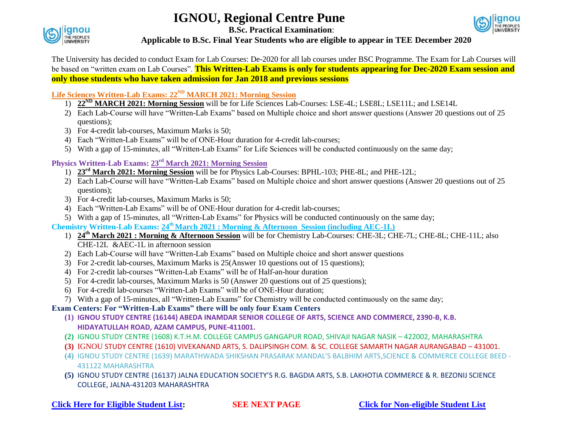# **IGNOU, Regional Centre Pune**



**B.Sc. Practical Examination**:



## **Applicable to B.Sc. Final Year Students who are eligible to appear in TEE December 2020**

The University has decided to conduct Exam for Lab Courses: De-2020 for all lab courses under BSC Programme. The Exam for Lab Courses will be based on "written exam on Lab Courses". **This Written-Lab Exams is only for students appearing for Dec-2020 Exam session and only those students who have taken admission for Jan 2018 and previous sessions**

# **Life Sciences Written-Lab Exams: 22<sup>ND</sup> MARCH 2021: Morning Session**

- 1) **22<sup>ND</sup> MARCH 2021: Morning Session** will be for Life Sciences Lab-Courses: LSE-4L; LSE8L; LSE11L; and LSE14L
- 2) Each Lab-Course will have "Written-Lab Exams" based on Multiple choice and short answer questions (Answer 20 questions out of 25 questions);
- 3) For 4-credit lab-courses, Maximum Marks is 50;
- 4) Each "Written-Lab Exams" will be of ONE-Hour duration for 4-credit lab-courses;
- 5) With a gap of 15-minutes, all "Written-Lab Exams" for Life Sciences will be conducted continuously on the same day;

# **Physics Written-Lab Exams: 23<sup>rd</sup> March 2021: Morning Session**

- 1) **23 rd March 2021: Morning Session** will be for Physics Lab-Courses: BPHL-103; PHE-8L; and PHE-12L;
- 2) Each Lab-Course will have "Written-Lab Exams" based on Multiple choice and short answer questions (Answer 20 questions out of 25 questions);
- 3) For 4-credit lab-courses, Maximum Marks is 50;
- 4) Each "Written-Lab Exams" will be of ONE-Hour duration for 4-credit lab-courses;
- 5) With a gap of 15-minutes, all "Written-Lab Exams" for Physics will be conducted continuously on the same day;

**Chemistry Written-Lab Exams: 24 thMarch 2021 : Morning & Afternoon Session (including AEC-1L)**

- 1) **24th March 2021 : Morning & Afternoon Session** will be for Chemistry Lab-Courses: CHE-3L; CHE-7L; CHE-8L; CHE-11L; also CHE-12L &AEC-1L in afternoon session
- 2) Each Lab-Course will have "Written-Lab Exams" based on Multiple choice and short answer questions
- 3) For 2-credit lab-courses, Maximum Marks is 25(Answer 10 questions out of 15 questions);
- 4) For 2-credit lab-courses "Written-Lab Exams" will be of Half-an-hour duration
- 5) For 4-credit lab-courses, Maximum Marks is 50 (Answer 20 questions out of 25 questions);
- 6) For 4-credit lab-courses "Written-Lab Exams" will be of ONE-Hour duration;
- 7) With a gap of 15-minutes, all "Written-Lab Exams" for Chemistry will be conducted continuously on the same day;

# **Exam Centers: For "Written-Lab Exams" there will be only four Exam Centers**

- **(1) IGNOU STUDY CENTRE (16144) ABEDA INAMDAR SENIOR COLLEGE OF ARTS, SCIENCE AND COMMERCE, 2390-B, K.B. HIDAYATULLAH ROAD, AZAM CAMPUS, PUNE-411001.**
- **(2)** IGNOU STUDY CENTRE (1608) K.T.H.M. COLLEGE CAMPUS GANGAPUR ROAD, SHIVAJI NAGAR NASIK 422002, MAHARASHTRA
- **(3)** IGNOU STUDY CENTRE (1610) VIVEKANAND ARTS, S. DALIPSINGH COM. & SC. COLLEGE SAMARTH NAGAR AURANGABAD 431001.
- **(4)** IGNOU STUDY CENTRE (1639) MARATHWADA SHIKSHAN PRASARAK MANDAL'S BALBHIM ARTS,SCIENCE & COMMERCE COLLEGE BEED 431122 MAHARASHTRA
- **(5)** IGNOU STUDY CENTRE (16137) JALNA EDUCATION SOCIETY'S R.G. BAGDIA ARTS, S.B. LAKHOTIA COMMERCE & R. BEZONIJ SCIENCE COLLEGE, JALNA-431203 MAHARASHTRA